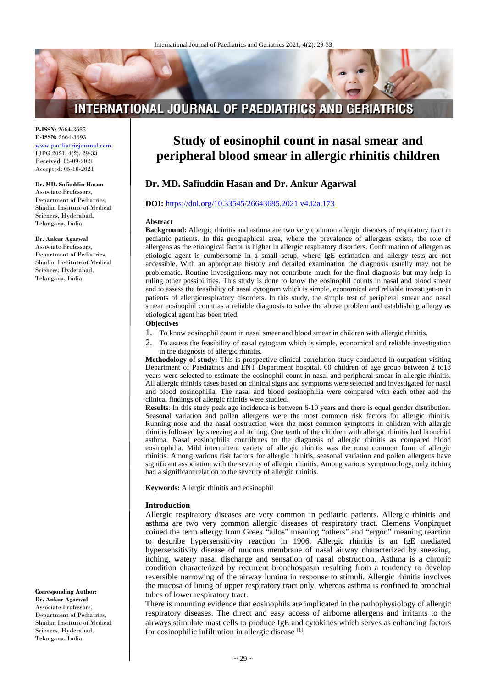# **INTERNATIONAL JOURNAL OF PAEDIATRICS AND GERIATRICS**

**P-ISSN:** 2664-3685 **E-ISSN:** 2664-3693 [www.paediatricjournal.com](http://www.paediatricjournal.com/) IJPG 2021; 4(2): 29-33 Received: 05-09-2021 Accepted: 05-10-2021

### **Dr. MD. Safiuddin Hasan**

Associate Professors, Department of Pediatrics, Shadan Institute of Medical Sciences, Hyderabad, Telangana, India

#### **Dr. Ankur Agarwal**

Associate Professors, Department of Pediatrics, Shadan Institute of Medical Sciences, Hyderabad, Telangana, India

**Corresponding Author: Dr. Ankur Agarwal** Associate Professors, Department of Pediatrics, Shadan Institute of Medical Sciences, Hyderabad, Telangana, India

# **Study of eosinophil count in nasal smear and peripheral blood smear in allergic rhinitis children**

# **Dr. MD. Safiuddin Hasan and Dr. Ankur Agarwal**

#### **DOI:** <https://doi.org/10.33545/26643685.2021.v4.i2a.173>

#### **Abstract**

**Background:** Allergic rhinitis and asthma are two very common allergic diseases of respiratory tract in pediatric patients. In this geographical area, where the prevalence of allergens exists, the role of allergens as the etiological factor is higher in allergic respiratory disorders. Confirmation of allergen as etiologic agent is cumbersome in a small setup, where IgE estimation and allergy tests are not accessible. With an appropriate history and detailed examination the diagnosis usually may not be problematic. Routine investigations may not contribute much for the final diagnosis but may help in ruling other possibilities. This study is done to know the eosinophil counts in nasal and blood smear and to assess the feasibility of nasal cytogram which is simple, economical and reliable investigation in patients of allergicrespiratory disorders. In this study, the simple test of peripheral smear and nasal smear eosinophil count as a reliable diagnosis to solve the above problem and establishing allergy as etiological agent has been tried.

#### **Objectives**

- 1. To know eosinophil count in nasal smear and blood smear in children with allergic rhinitis.
- 2. To assess the feasibility of nasal cytogram which is simple, economical and reliable investigation in the diagnosis of allergic rhinitis.

**Methodology of study:** This is prospective clinical correlation study conducted in outpatient visiting Department of Paediatrics and ENT Department hospital. 60 children of age group between 2 to18 years were selected to estimate the eosinophil count in nasal and peripheral smear in allergic rhinitis. All allergic rhinitis cases based on clinical signs and symptoms were selected and investigated for nasal and blood eosinophilia. The nasal and blood eosinophilia were compared with each other and the clinical findings of allergic rhinitis were studied.

**Results**: In this study peak age incidence is between 6-10 years and there is equal gender distribution. Seasonal variation and pollen allergens were the most common risk factors for allergic rhinitis. Running nose and the nasal obstruction were the most common symptoms in children with allergic rhinitis followed by sneezing and itching. One tenth of the children with allergic rhinitis had bronchial asthma. Nasal eosinophilia contributes to the diagnosis of allergic rhinitis as compared blood eosinophilia. Mild intermittent variety of allergic rhinitis was the most common form of allergic rhinitis. Among various risk factors for allergic rhinitis, seasonal variation and pollen allergens have significant association with the severity of allergic rhinitis. Among various symptomology, only itching had a significant relation to the severity of allergic rhinitis.

**Keywords:** Allergic rhinitis and eosinophil

#### **Introduction**

Allergic respiratory diseases are very common in pediatric patients. Allergic rhinitis and asthma are two very common allergic diseases of respiratory tract. Clemens Vonpirquet coined the term allergy from Greek "allos" meaning "others" and "ergon" meaning reaction to describe hypersensitivity reaction in 1906. Allergic rhinitis is an IgE mediated hypersensitivity disease of mucous membrane of nasal airway characterized by sneezing, itching, watery nasal discharge and sensation of nasal obstruction. Asthma is a chronic condition characterized by recurrent bronchospasm resulting from a tendency to develop reversible narrowing of the airway lumina in response to stimuli. Allergic rhinitis involves the mucosa of lining of upper respiratory tract only, whereas asthma is confined to bronchial tubes of lower respiratory tract.

There is mounting evidence that eosinophils are implicated in the pathophysiology of allergic respiratory diseases. The direct and easy access of airborne allergens and irritants to the airways stimulate mast cells to produce IgE and cytokines which serves as enhancing factors for eosinophilic infiltration in allergic disease [1].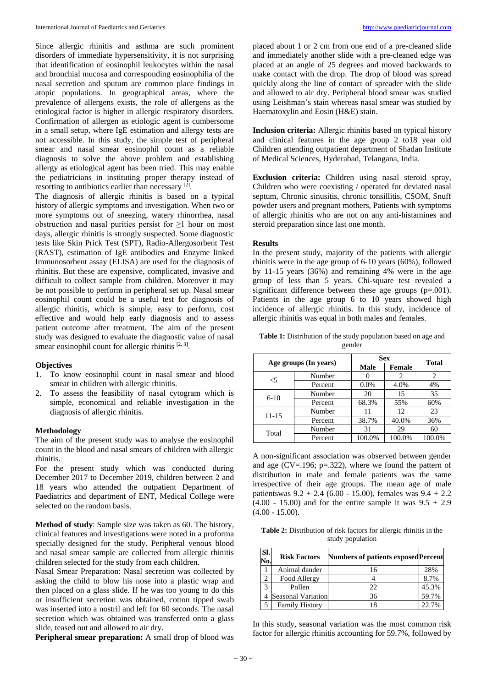Since allergic rhinitis and asthma are such prominent disorders of immediate hypersensitivity, it is not surprising that identification of eosinophil leukocytes within the nasal and bronchial mucosa and corresponding eosinophilia of the nasal secretion and sputum are common place findings in atopic populations. In geographical areas, where the prevalence of allergens exists, the role of allergens as the etiological factor is higher in allergic respiratory disorders. Confirmation of allergen as etiologic agent is cumbersome in a small setup, where IgE estimation and allergy tests are not accessible. In this study, the simple test of peripheral smear and nasal smear eosinophil count as a reliable diagnosis to solve the above problem and establishing allergy as etiological agent has been tried. This may enable the pediatricians in instituting proper therapy instead of resorting to antibiotics earlier than necessary [2].

The diagnosis of allergic rhinitis is based on a typical history of allergic symptoms and investigation. When two or more symptoms out of sneezing, watery rhinorrhea, nasal obstruction and nasal purities persist for ≥1 hour on most days, allergic rhinitis is strongly suspected. Some diagnostic tests like Skin Prick Test (SPT), Radio-Allergosorbent Test (RAST), estimation of IgE antibodies and Enzyme linked Immunosorbent assay (ELISA) are used for the diagnosis of rhinitis. But these are expensive, complicated, invasive and difficult to collect sample from children. Moreover it may be not possible to perform in peripheral set up. Nasal smear eosinophil count could be a useful test for diagnosis of allergic rhinitis, which is simple, easy to perform, cost effective and would help early diagnosis and to assess patient outcome after treatment. The aim of the present study was designed to evaluate the diagnostic value of nasal smear eosinophil count for allergic rhinitis  $[2, 3]$ .

#### **Objectives**

- 1. To know eosinophil count in nasal smear and blood smear in children with allergic rhinitis.
- 2. To assess the feasibility of nasal cytogram which is simple, economical and reliable investigation in the diagnosis of allergic rhinitis.

#### **Methodology**

The aim of the present study was to analyse the eosinophil count in the blood and nasal smears of children with allergic rhinitis.

For the present study which was conducted during December 2017 to December 2019, children between 2 and 18 years who attended the outpatient Department of Paediatrics and department of ENT, Medical College were selected on the random basis.

**Method of study**: Sample size was taken as 60. The history, clinical features and investigations were noted in a proforma specially designed for the study. Peripheral venous blood and nasal smear sample are collected from allergic rhinitis children selected for the study from each children.

Nasal Smear Preparation: Nasal secretion was collected by asking the child to blow his nose into a plastic wrap and then placed on a glass slide. If he was too young to do this or insufficient secretion was obtained, cotton tipped swab was inserted into a nostril and left for 60 seconds. The nasal secretion which was obtained was transferred onto a glass slide, teased out and allowed to air dry.

**Peripheral smear preparation:** A small drop of blood was

placed about 1 or 2 cm from one end of a pre-cleaned slide and immediately another slide with a pre-cleaned edge was placed at an angle of 25 degrees and moved backwards to make contact with the drop. The drop of blood was spread quickly along the line of contact of spreader with the slide and allowed to air dry. Peripheral blood smear was studied using Leishman's stain whereas nasal smear was studied by Haematoxylin and Eosin (H&E) stain.

**Inclusion criteria:** Allergic rhinitis based on typical history and clinical features in the age group 2 to18 year old Children attending outpatient department of Shadan Institute of Medical Sciences, Hyderabad, Telangana, India.

**Exclusion criteria:** Children using nasal steroid spray, Children who were coexisting / operated for deviated nasal septum, Chronic sinusitis, chronic tonsillitis, CSOM, Snuff powder users and pregnant mothers, Patients with symptoms of allergic rhinitis who are not on any anti-histamines and steroid preparation since last one month.

#### **Results**

In the present study, majority of the patients with allergic rhinitis were in the age group of 6-10 years (60%), followed by 11-15 years (36%) and remaining 4% were in the age group of less than 5 years. Chi-square test revealed a significant difference between these age groups (p=.001). Patients in the age group 6 to 10 years showed high incidence of allergic rhinitis. In this study, incidence of allergic rhinitis was equal in both males and females.

**Table 1:** Distribution of the study population based on age and gender

| Age groups (In years) |         |             | <b>Sex</b>    |              |  |
|-----------------------|---------|-------------|---------------|--------------|--|
|                       |         | <b>Male</b> | <b>Female</b> | <b>Total</b> |  |
| $<$ 5                 | Number  |             | 2             | 2            |  |
|                       | Percent | 0.0%        | 4.0%          | 4%           |  |
| $6-10$                | Number  | 20          | 15            | 35           |  |
|                       | Percent | 68.3%       | 55%           | 60%          |  |
| 11-15                 | Number  | 11          | 12            | 23           |  |
|                       | Percent | 38.7%       | 40.0%         | 36%          |  |
| Total                 | Number  | 31          | 29            | 60           |  |
|                       | Percent | 100.0%      | 100.0%        | 100.0%       |  |

A non-significant association was observed between gender and age ( $CV=196$ ;  $p=.322$ ), where we found the pattern of distribution in male and female patients was the same irrespective of their age groups. The mean age of male patientswas 9.2 + 2.4 (6.00 - 15.00), females was 9.4 + 2.2  $(4.00 - 15.00)$  and for the entire sample it was  $9.5 + 2.9$ (4.00 - 15.00).

**Table 2:** Distribution of risk factors for allergic rhinitis in the study population

| Sl.<br>No.   | <b>Risk Factors</b>       | <b>Numbers of patients exposed Percent</b> |       |
|--------------|---------------------------|--------------------------------------------|-------|
|              | Animal dander             | 16                                         | 28%   |
|              | Food Allergy              |                                            | 8.7%  |
| $\mathbf{R}$ | Pollen                    | 22                                         | 45.3% |
|              | <b>Seasonal Variation</b> | 36                                         | 59.7% |
|              | <b>Family History</b>     | 18                                         | 22.7% |

In this study, seasonal variation was the most common risk factor for allergic rhinitis accounting for 59.7%, followed by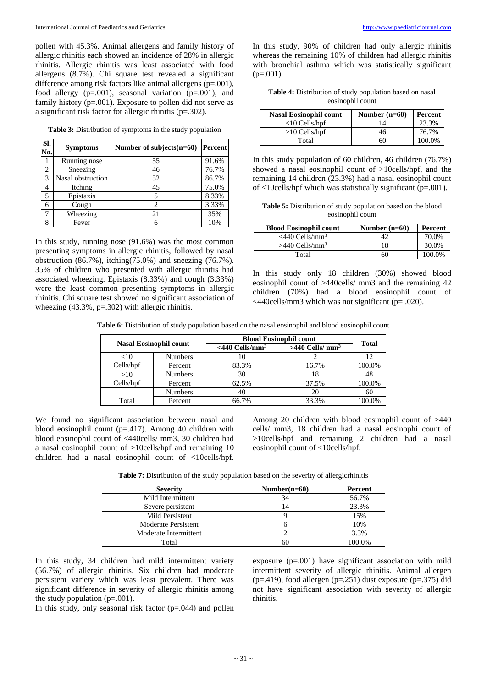pollen with 45.3%. Animal allergens and family history of allergic rhinitis each showed an incidence of 28% in allergic rhinitis. Allergic rhinitis was least associated with food allergens (8.7%). Chi square test revealed a significant difference among risk factors like animal allergens (p=.001), food allergy  $(p=.001)$ , seasonal variation  $(p=.001)$ , and family history (p=.001). Exposure to pollen did not serve as a significant risk factor for allergic rhinitis (p=.302).

**Table 3:** Distribution of symptoms in the study population

| Sl.<br>No. | <b>Symptoms</b>   | Number of subjects $(n=60)$ | Percent |
|------------|-------------------|-----------------------------|---------|
|            | Running nose      | 55                          | 91.6%   |
| 2          | Sneezing          | 46                          | 76.7%   |
| 3          | Nasal obstruction | 52                          | 86.7%   |
|            | Itching           | 45                          | 75.0%   |
| 5          | Epistaxis         | 5                           | 8.33%   |
| 6          | Cough             | $\overline{c}$              | 3.33%   |
| 7          | Wheezing          | 21                          | 35%     |
| 8          | Fever             |                             | 10%     |

In this study, running nose (91.6%) was the most common presenting symptoms in allergic rhinitis, followed by nasal obstruction (86.7%), itching(75.0%) and sneezing (76.7%). 35% of children who presented with allergic rhinitis had associated wheezing. Epistaxis (8.33%) and cough (3.33%) were the least common presenting symptoms in allergic rhinitis. Chi square test showed no significant association of wheezing (43.3%, p=.302) with allergic rhinitis.

In this study, 90% of children had only allergic rhinitis whereas the remaining 10% of children had allergic rhinitis with bronchial asthma which was statistically significant  $(p=.001)$ .

**Table 4:** Distribution of study population based on nasal eosinophil count

| <b>Nasal Eosinophil count</b> | Number $(n=60)$ | Percent |
|-------------------------------|-----------------|---------|
| $<$ 10 Cells/hpf              | 14              | 23.3%   |
| $>10$ Cells/hpf               | 46              | 76.7%   |
| Total                         | 60              | 100.0%  |

In this study population of 60 children, 46 children (76.7%) showed a nasal eosinophil count of >10cells/hpf, and the remaining 14 children (23.3%) had a nasal eosinophil count of <10cells/hpf which was statistically significant (p=.001).

**Table 5:** Distribution of study population based on the blood eosinophil count

| <b>Blood Eosinophil count</b> | Number $(n=60)$ | Percent |
|-------------------------------|-----------------|---------|
| $<$ 440 Cells/mm <sup>3</sup> |                 | 70.0%   |
| $>440$ Cells/mm <sup>3</sup>  | 18              | 30.0%   |
| Total                         | 60              | 100.0%  |

In this study only 18 children (30%) showed blood eosinophil count of >440cells/ mm3 and the remaining 42 children (70%) had a blood eosinophil count of <440cells/mm3 which was not significant (p= .020).

Table 6: Distribution of study population based on the nasal eosinophil and blood eosinophil count

| <b>Nasal Eosinophil count</b> |                | <b>Blood Eosinophil count</b> |                               |              |
|-------------------------------|----------------|-------------------------------|-------------------------------|--------------|
|                               |                | $<$ 440 Cells/mm <sup>3</sup> | $>440$ Cells/ mm <sup>3</sup> | <b>Total</b> |
| <10                           | <b>Numbers</b> |                               |                               | 12           |
| Cells/hpf                     | Percent        | 83.3%                         | 16.7%                         | 100.0%       |
| >10                           | <b>Numbers</b> | 30                            | 18                            | 48           |
| Cells/hpf                     | Percent        | 62.5%                         | 37.5%                         | 100.0%       |
|                               | <b>Numbers</b> | 40                            | 20                            | 60           |
| Total                         | Percent        | 66.7%                         | 33.3%                         | 100.0%       |

We found no significant association between nasal and blood eosinophil count (p=.417). Among 40 children with blood eosinophil count of <440cells/ mm3, 30 children had a nasal eosinophil count of >10cells/hpf and remaining 10 children had a nasal eosinophil count of <10cells/hpf.

Among 20 children with blood eosinophil count of >440 cells/ mm3, 18 children had a nasal eosinophi count of >10cells/hpf and remaining 2 children had a nasal eosinophil count of <10cells/hpf.

**Table 7:** Distribution of the study population based on the severity of allergicrhinitis

| <b>Severity</b>       | Number $(n=60)$ | Percent |
|-----------------------|-----------------|---------|
| Mild Intermittent     | 34              | 56.7%   |
| Severe persistent     | 14              | 23.3%   |
| Mild Persistent       |                 | 15%     |
| Moderate Persistent   |                 | 10%     |
| Moderate Intermittent |                 | 3.3%    |
| Total                 | 60              | 100.0%  |

In this study, 34 children had mild intermittent variety (56.7%) of allergic rhinitis. Six children had moderate persistent variety which was least prevalent. There was significant difference in severity of allergic rhinitis among the study population  $(p=.001)$ .

In this study, only seasonal risk factor  $(p=.044)$  and pollen

exposure  $(p=.001)$  have significant association with mild intermittent severity of allergic rhinitis. Animal allergen ( $p=0.419$ ), food allergen ( $p=0.251$ ) dust exposure ( $p=0.375$ ) did not have significant association with severity of allergic rhinitis.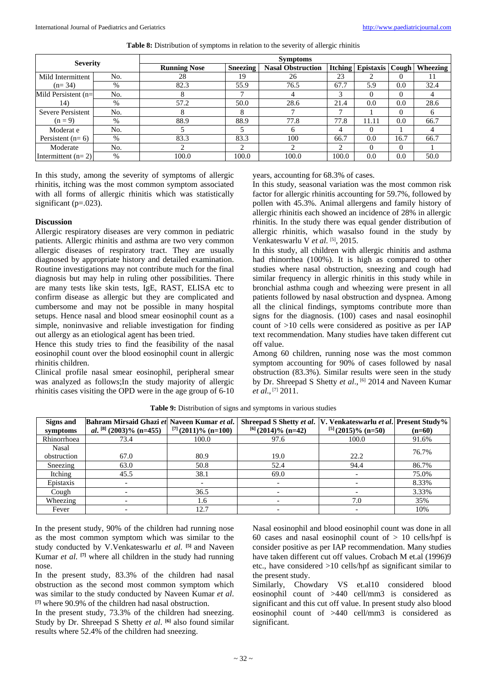| <b>Severity</b>       |      | <b>Symptoms</b>     |                 |                          |       |                          |          |          |
|-----------------------|------|---------------------|-----------------|--------------------------|-------|--------------------------|----------|----------|
|                       |      | <b>Running Nose</b> | <b>Sneezing</b> | <b>Nasal Obstruction</b> |       | <b>Itching Epistaxis</b> | Cough    | Wheezing |
| Mild Intermittent     | No.  | 28                  | 19              | 26                       | 23    |                          |          |          |
| $(n=34)$              | $\%$ | 82.3                | 55.9            | 76.5                     | 67.7  | 5.9                      | 0.0      | 32.4     |
| Mild Persistent $(n=$ | No.  | 8                   |                 | 4                        | 3     | $\Omega$                 | $\Omega$ |          |
| 14)                   | $\%$ | 57.2                | 50.0            | 28.6                     | 21.4  | 0.0                      | 0.0      | 28.6     |
| Severe Persistent     | No.  | 8                   | 8               |                          |       |                          | $\Omega$ | h        |
| $(n=9)$               | $\%$ | 88.9                | 88.9            | 77.8                     | 77.8  | 11.11                    | 0.0      | 66.7     |
| Moderat e             | No.  |                     |                 | 6                        |       | $\left($                 |          |          |
| Persistent $(n=6)$    | $\%$ | 83.3                | 83.3            | 100                      | 66.7  | 0.0                      | 16.7     | 66.7     |
| Moderate              | No.  | ∍                   | ◠               | 2                        | ◠     | $\Omega$                 | $\Omega$ |          |
| Intermittent $(n=2)$  | $\%$ | 100.0               | 100.0           | 100.0                    | 100.0 | 0.0                      | 0.0      | 50.0     |

**Table 8:** Distribution of symptoms in relation to the severity of allergic rhinitis

In this study, among the severity of symptoms of allergic rhinitis, itching was the most common symptom associated with all forms of allergic rhinitis which was statistically significant ( $p=.023$ ).

#### **Discussion**

Allergic respiratory diseases are very common in pediatric patients. Allergic rhinitis and asthma are two very common allergic diseases of respiratory tract. They are usually diagnosed by appropriate history and detailed examination. Routine investigations may not contribute much for the final diagnosis but may help in ruling other possibilities. There are many tests like skin tests, IgE, RAST, ELISA etc to confirm disease as allergic but they are complicated and cumbersome and may not be possible in many hospital setups. Hence nasal and blood smear eosinophil count as a simple, noninvasive and reliable investigation for finding out allergy as an etiological agent has been tried.

Hence this study tries to find the feasibility of the nasal eosinophil count over the blood eosinophil count in allergic rhinitis children.

Clinical profile nasal smear eosinophil, peripheral smear was analyzed as follows;In the study majority of allergic rhinitis cases visiting the OPD were in the age group of 6-10 years, accounting for 68.3% of cases.

In this study, seasonal variation was the most common risk factor for allergic rhinitis accounting for 59.7%, followed by pollen with 45.3%. Animal allergens and family history of allergic rhinitis each showed an incidence of 28% in allergic rhinitis. In the study there was equal gender distribution of allergic rhinitis, which wasalso found in the study by Venkateswarlu V et al. [5], 2015.

In this study, all children with allergic rhinitis and asthma had rhinorrhea (100%). It is high as compared to other studies where nasal obstruction, sneezing and cough had similar frequency in allergic rhinitis in this study while in bronchial asthma cough and wheezing were present in all patients followed by nasal obstruction and dyspnea. Among all the clinical findings, symptoms contribute more than signs for the diagnosis. (100) cases and nasal eosinophil count of >10 cells were considered as positive as per IAP text recommendation. Many studies have taken different cut off value.

Among 60 children, running nose was the most common symptom accounting for 90% of cases followed by nasal obstruction (83.3%). Similar results were seen in the study by Dr. Shreepad S Shetty *et al.*, <sup>[6]</sup> 2014 and Naveen Kumar *et al*., [7] 2011.

| Signs and   | Bahram Mirsaid Ghazi et Naveen Kumar et al. |                          | Shreepad S Shetty <i>et al.</i> V. Venkateswarlu <i>et al.</i> Present Study% |                         |          |
|-------------|---------------------------------------------|--------------------------|-------------------------------------------------------------------------------|-------------------------|----------|
| symptoms    | al. <sup>[8]</sup> (2003)% (n=455)          | $^{[7]}(2011)\%$ (n=100) | $^{[6]}(2014)\%$ (n=42)                                                       | $^{[5]}(2015)\%$ (n=50) | $(n=60)$ |
| Rhinorrhoea | 73.4                                        | 100.0                    | 97.6                                                                          | 100.0                   | 91.6%    |
| Nasal       |                                             |                          |                                                                               |                         | 76.7%    |
| obstruction | 67.0                                        | 80.9                     | 19.0                                                                          | 22.2                    |          |
| Sneezing    | 63.0                                        | 50.8                     | 52.4                                                                          | 94.4                    | 86.7%    |
| Itching     | 45.5                                        | 38.1                     | 69.0                                                                          |                         | 75.0%    |
| Epistaxis   |                                             |                          | $\overline{\phantom{0}}$                                                      |                         | 8.33%    |
| Cough       |                                             | 36.5                     |                                                                               |                         | 3.33%    |
| Wheezing    |                                             | 1.6                      |                                                                               | 7.0                     | 35%      |
| Fever       |                                             | 12.7                     |                                                                               |                         | 10%      |

**Table 9:** Distribution of signs and symptoms in various studies

In the present study, 90% of the children had running nose as the most common symptom which was similar to the study conducted by V.Venkateswarlu *et al*. **[5]** and Naveen Kumar *et al*. **[7]** where all children in the study had running nose.

In the present study, 83.3% of the children had nasal obstruction as the second most common symptom which was similar to the study conducted by Naveen Kumar *et al*. **[7]** where 90.9% of the children had nasal obstruction.

In the present study, 73.3% of the children had sneezing. Study by Dr. Shreepad S Shetty *et al*. **[6]** also found similar results where 52.4% of the children had sneezing.

Nasal eosinophil and blood eosinophil count was done in all 60 cases and nasal eosinophil count of  $> 10$  cells/hpf is consider positive as per IAP recommendation. Many studies have taken different cut off values. Crobach M et.al (1996)9 etc., have considered >10 cells/hpf as significant similar to the present study.

Similarly, Chowdary VS et.al10 considered blood eosinophil count of >440 cell/mm3 is considered as significant and this cut off value. In present study also blood eosinophil count of >440 cell/mm3 is considered as significant.